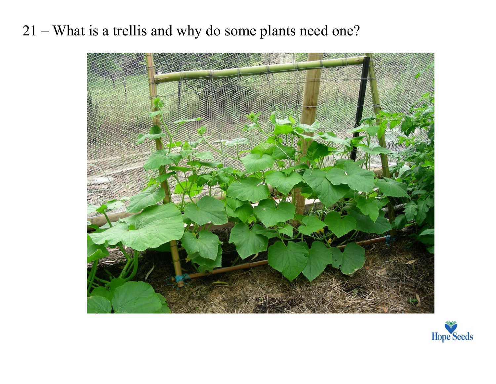21 – What is a trellis and why do some plants need one?



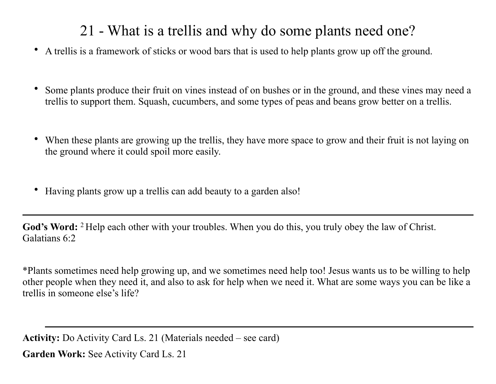## 21 - What is a trellis and why do some plants need one?

- A trellis is a framework of sticks or wood bars that is used to help plants grow up off the ground.
- Some plants produce their fruit on vines instead of on bushes or in the ground, and these vines may need a trellis to support them. Squash, cucumbers, and some types of peas and beans grow better on a trellis.
- When these plants are growing up the trellis, they have more space to grow and their fruit is not laying on the ground where it could spoil more easily.
- Having plants grow up a trellis can add beauty to a garden also!

God's Word: <sup>2</sup> Help each other with your troubles. When you do this, you truly obey the law of Christ. Galatians 6:2

\*Plants sometimes need help growing up, and we sometimes need help too! Jesus wants us to be willing to help other people when they need it, and also to ask for help when we need it. What are some ways you can be like a trellis in someone else's life?

**Activity:** Do Activity Card Ls. 21 (Materials needed – see card)

**Garden Work:** See Activity Card Ls. 21